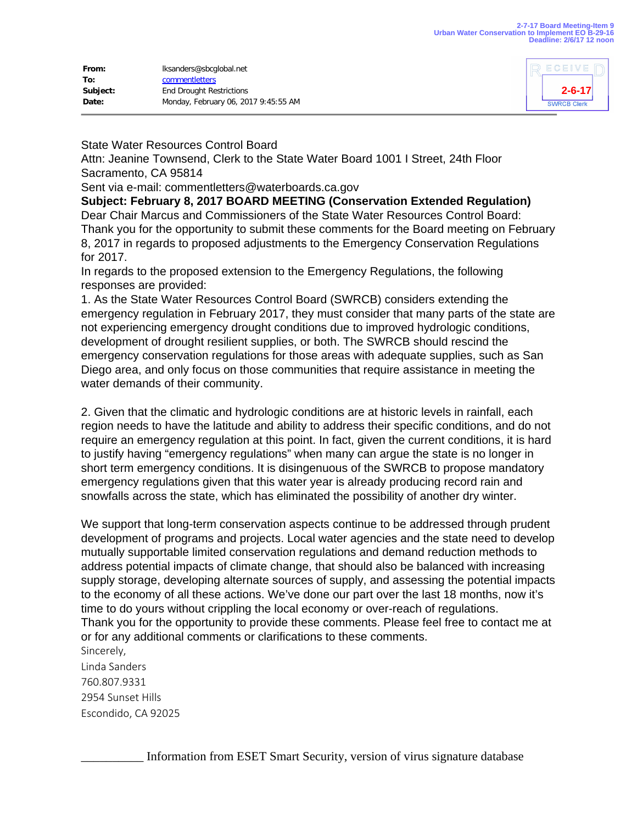| From:    | lksanders@sbcqlobal.net              |
|----------|--------------------------------------|
| To:      | commentletters                       |
| Subject: | <b>End Drought Restrictions</b>      |
| Date:    | Monday, February 06, 2017 9:45:55 AM |



## State Water Resources Control Board

Attn: Jeanine Townsend, Clerk to the State Water Board 1001 I Street, 24th Floor Sacramento, CA 95814

Sent via e-mail: commentletters@waterboards.ca.gov

**Subject: February 8, 2017 BOARD MEETING (Conservation Extended Regulation)** Dear Chair Marcus and Commissioners of the State Water Resources Control Board: Thank you for the opportunity to submit these comments for the Board meeting on February 8, 2017 in regards to proposed adjustments to the Emergency Conservation Regulations for 2017.

In regards to the proposed extension to the Emergency Regulations, the following responses are provided:

1. As the State Water Resources Control Board (SWRCB) considers extending the emergency regulation in February 2017, they must consider that many parts of the state are not experiencing emergency drought conditions due to improved hydrologic conditions, development of drought resilient supplies, or both. The SWRCB should rescind the emergency conservation regulations for those areas with adequate supplies, such as San Diego area, and only focus on those communities that require assistance in meeting the water demands of their community.

2. Given that the climatic and hydrologic conditions are at historic levels in rainfall, each region needs to have the latitude and ability to address their specific conditions, and do not require an emergency regulation at this point. In fact, given the current conditions, it is hard to justify having "emergency regulations" when many can argue the state is no longer in short term emergency conditions. It is disingenuous of the SWRCB to propose mandatory emergency regulations given that this water year is already producing record rain and snowfalls across the state, which has eliminated the possibility of another dry winter.

We support that long-term conservation aspects continue to be addressed through prudent development of programs and projects. Local water agencies and the state need to develop mutually supportable limited conservation regulations and demand reduction methods to address potential impacts of climate change, that should also be balanced with increasing supply storage, developing alternate sources of supply, and assessing the potential impacts to the economy of all these actions. We've done our part over the last 18 months, now it's time to do yours without crippling the local economy or over-reach of regulations. Thank you for the opportunity to provide these comments. Please feel free to contact me at or for any additional comments or clarifications to these comments. Sincerely,

Linda Sanders 760.807.9331 2954 Sunset Hills Escondido, CA 92025